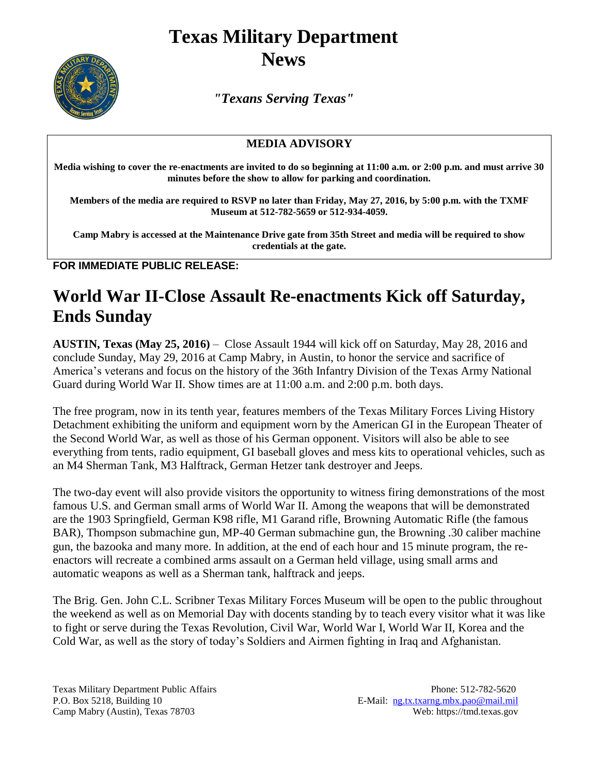## **Texas Military Department News**



*"Texans Serving Texas"*

## **MEDIA ADVISORY**

**Media wishing to cover the re-enactments are invited to do so beginning at 11:00 a.m. or 2:00 p.m. and must arrive 30 minutes before the show to allow for parking and coordination.** 

**Members of the media are required to RSVP no later than Friday, May 27, 2016, by 5:00 p.m. with the TXMF Museum at 512-782-5659 or 512-934-4059.**

**Camp Mabry is accessed at the Maintenance Drive gate from 35th Street and media will be required to show credentials at the gate.**

**FOR IMMEDIATE PUBLIC RELEASE:**

## **World War II-Close Assault Re-enactments Kick off Saturday, Ends Sunday**

**AUSTIN, Texas (May 25, 2016)** – Close Assault 1944 will kick off on Saturday, May 28, 2016 and conclude Sunday, May 29, 2016 at Camp Mabry, in Austin, to honor the service and sacrifice of America's veterans and focus on the history of the 36th Infantry Division of the Texas Army National Guard during World War II. Show times are at 11:00 a.m. and 2:00 p.m. both days.

The free program, now in its tenth year, features members of the Texas Military Forces Living History Detachment exhibiting the uniform and equipment worn by the American GI in the European Theater of the Second World War, as well as those of his German opponent. Visitors will also be able to see everything from tents, radio equipment, GI baseball gloves and mess kits to operational vehicles, such as an M4 Sherman Tank, M3 Halftrack, German Hetzer tank destroyer and Jeeps.

The two-day event will also provide visitors the opportunity to witness firing demonstrations of the most famous U.S. and German small arms of World War II. Among the weapons that will be demonstrated are the 1903 Springfield, German K98 rifle, M1 Garand rifle, Browning Automatic Rifle (the famous BAR), Thompson submachine gun, MP-40 German submachine gun, the Browning .30 caliber machine gun, the bazooka and many more. In addition, at the end of each hour and 15 minute program, the reenactors will recreate a combined arms assault on a German held village, using small arms and automatic weapons as well as a Sherman tank, halftrack and jeeps.

The Brig. Gen. John C.L. Scribner Texas Military Forces Museum will be open to the public throughout the weekend as well as on Memorial Day with docents standing by to teach every visitor what it was like to fight or serve during the Texas Revolution, Civil War, World War I, World War II, Korea and the Cold War, as well as the story of today's Soldiers and Airmen fighting in Iraq and Afghanistan.

Texas Military Department Public Affairs Phone: 512-782-5620 P.O. Box 5218, Building 10 E-Mail: [ng.tx.txarng.mbx.pao@mail.mil](mailto:ng.tx.txarng.mbx.pao@mail.mil)<br>Camp Mabry (Austin), Texas 78703 Web: https://tmd.texas.gov Camp Mabry (Austin), Texas 78703